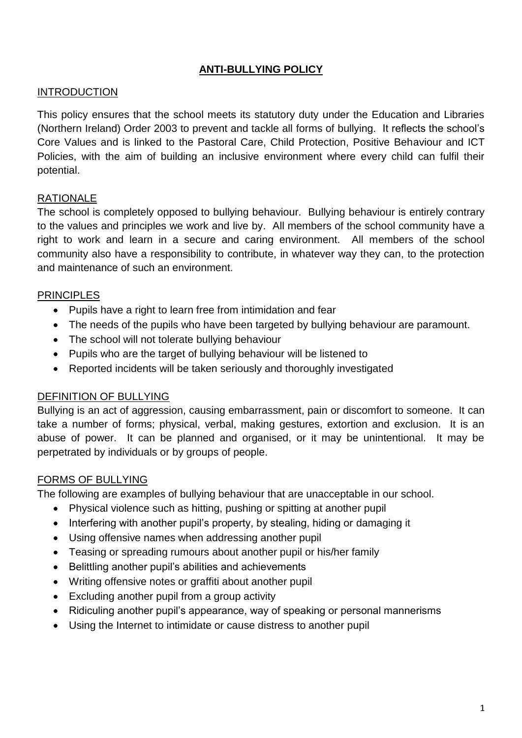## **ANTI-BULLYING POLICY**

#### INTRODUCTION

This policy ensures that the school meets its statutory duty under the Education and Libraries (Northern Ireland) Order 2003 to prevent and tackle all forms of bullying. It reflects the school's Core Values and is linked to the Pastoral Care, Child Protection, Positive Behaviour and ICT Policies, with the aim of building an inclusive environment where every child can fulfil their potential.

### RATIONALE

The school is completely opposed to bullying behaviour. Bullying behaviour is entirely contrary to the values and principles we work and live by. All members of the school community have a right to work and learn in a secure and caring environment. All members of the school community also have a responsibility to contribute, in whatever way they can, to the protection and maintenance of such an environment.

### PRINCIPLES

- Pupils have a right to learn free from intimidation and fear
- The needs of the pupils who have been targeted by bullying behaviour are paramount.
- The school will not tolerate bullying behaviour
- Pupils who are the target of bullying behaviour will be listened to
- Reported incidents will be taken seriously and thoroughly investigated

### DEFINITION OF BULLYING

Bullying is an act of aggression, causing embarrassment, pain or discomfort to someone. It can take a number of forms; physical, verbal, making gestures, extortion and exclusion. It is an abuse of power. It can be planned and organised, or it may be unintentional. It may be perpetrated by individuals or by groups of people.

### FORMS OF BULLYING

The following are examples of bullying behaviour that are unacceptable in our school.

- Physical violence such as hitting, pushing or spitting at another pupil
- Interfering with another pupil's property, by stealing, hiding or damaging it
- Using offensive names when addressing another pupil
- Teasing or spreading rumours about another pupil or his/her family
- Belittling another pupil's abilities and achievements
- Writing offensive notes or graffiti about another pupil
- Excluding another pupil from a group activity
- Ridiculing another pupil's appearance, way of speaking or personal mannerisms
- Using the Internet to intimidate or cause distress to another pupil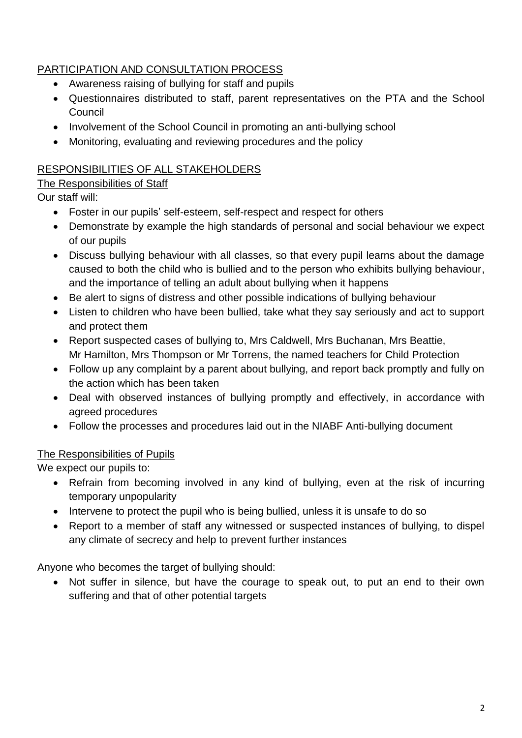# PARTICIPATION AND CONSULTATION PROCESS

- Awareness raising of bullying for staff and pupils
- Questionnaires distributed to staff, parent representatives on the PTA and the School Council
- Involvement of the School Council in promoting an anti-bullying school
- Monitoring, evaluating and reviewing procedures and the policy

## RESPONSIBILITIES OF ALL STAKEHOLDERS

## The Responsibilities of Staff

Our staff will:

- Foster in our pupils' self-esteem, self-respect and respect for others
- Demonstrate by example the high standards of personal and social behaviour we expect of our pupils
- Discuss bullying behaviour with all classes, so that every pupil learns about the damage caused to both the child who is bullied and to the person who exhibits bullying behaviour, and the importance of telling an adult about bullying when it happens
- Be alert to signs of distress and other possible indications of bullying behaviour
- Listen to children who have been bullied, take what they say seriously and act to support and protect them
- Report suspected cases of bullying to, Mrs Caldwell, Mrs Buchanan, Mrs Beattie, Mr Hamilton, Mrs Thompson or Mr Torrens, the named teachers for Child Protection
- Follow up any complaint by a parent about bullying, and report back promptly and fully on the action which has been taken
- Deal with observed instances of bullying promptly and effectively, in accordance with agreed procedures
- Follow the processes and procedures laid out in the NIABF Anti-bullying document

## The Responsibilities of Pupils

We expect our pupils to:

- Refrain from becoming involved in any kind of bullying, even at the risk of incurring temporary unpopularity
- Intervene to protect the pupil who is being bullied, unless it is unsafe to do so
- Report to a member of staff any witnessed or suspected instances of bullying, to dispel any climate of secrecy and help to prevent further instances

Anyone who becomes the target of bullying should:

• Not suffer in silence, but have the courage to speak out, to put an end to their own suffering and that of other potential targets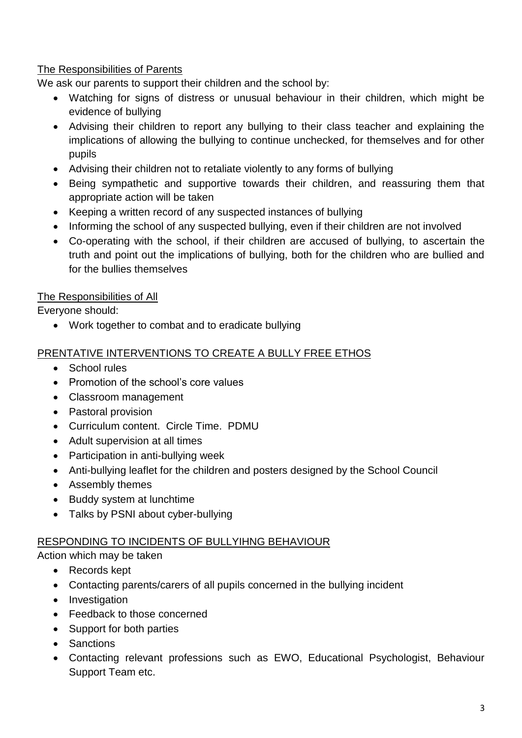### The Responsibilities of Parents

We ask our parents to support their children and the school by:

- Watching for signs of distress or unusual behaviour in their children, which might be evidence of bullying
- Advising their children to report any bullying to their class teacher and explaining the implications of allowing the bullying to continue unchecked, for themselves and for other pupils
- Advising their children not to retaliate violently to any forms of bullying
- Being sympathetic and supportive towards their children, and reassuring them that appropriate action will be taken
- Keeping a written record of any suspected instances of bullying
- Informing the school of any suspected bullying, even if their children are not involved
- Co-operating with the school, if their children are accused of bullying, to ascertain the truth and point out the implications of bullying, both for the children who are bullied and for the bullies themselves

### The Responsibilities of All

Everyone should:

Work together to combat and to eradicate bullying

### PRENTATIVE INTERVENTIONS TO CREATE A BULLY FREE ETHOS

- School rules
- Promotion of the school's core values
- Classroom management
- Pastoral provision
- Curriculum content. Circle Time. PDMU
- Adult supervision at all times
- Participation in anti-bullying week
- Anti-bullying leaflet for the children and posters designed by the School Council
- Assembly themes
- Buddy system at lunchtime
- Talks by PSNI about cyber-bullying

### RESPONDING TO INCIDENTS OF BULLYIHNG BEHAVIOUR

Action which may be taken

- Records kept
- Contacting parents/carers of all pupils concerned in the bullying incident
- Investigation
- Feedback to those concerned
- Support for both parties
- Sanctions
- Contacting relevant professions such as EWO, Educational Psychologist, Behaviour Support Team etc.